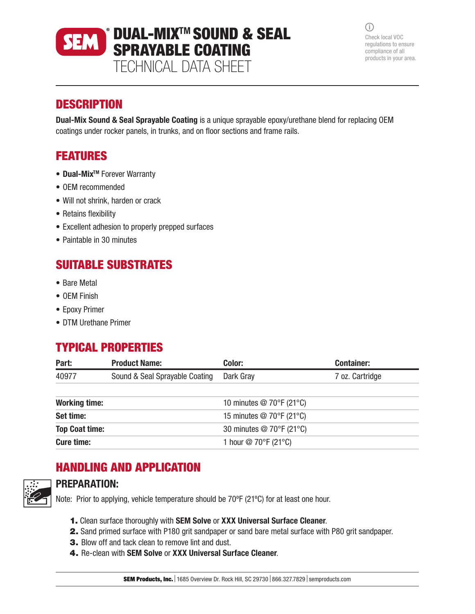DUAL-MIXTM SOUND & SEAL **SEM** SPRAYABLE COATING

TECHNICAL DATA SHEET

 $(i)$ Check local VOC regulations to ensure compliance of all products in your area.

### **DESCRIPTION**

Dual-Mix Sound & Seal Sprayable Coating is a unique sprayable epoxy/urethane blend for replacing OEM coatings under rocker panels, in trunks, and on floor sections and frame rails.

# FEATURES

- Dual-Mix<sup>TM</sup> Forever Warranty
- OEM recommended
- Will not shrink, harden or crack
- Retains flexibility
- Excellent adhesion to properly prepped surfaces
- Paintable in 30 minutes

## SUITABLE SUBSTRATES

- Bare Metal
- OEM Finish
- Epoxy Primer
- DTM Urethane Primer

# TYPICAL PROPERTIES

| Part:                 | <b>Product Name:</b>           | Color:                                         | <b>Container:</b> |
|-----------------------|--------------------------------|------------------------------------------------|-------------------|
| 40977                 | Sound & Seal Sprayable Coating | Dark Gray                                      | 7 oz. Cartridge   |
|                       |                                |                                                |                   |
| <b>Working time:</b>  |                                | 10 minutes $@$ 70 $\degree$ F (21 $\degree$ C) |                   |
| Set time:             |                                | 15 minutes $@$ 70 $\degree$ F (21 $\degree$ C) |                   |
| <b>Top Coat time:</b> |                                | 30 minutes @ 70°F (21°C)                       |                   |
| <b>Cure time:</b>     |                                | 1 hour $\textcircled{2}$ 70°F (21°C)           |                   |

# HANDLING AND APPLICATION



### PREPARATION:

Note: Prior to applying, vehicle temperature should be 70ºF (21ºC) for at least one hour.

- 1. Clean surface thoroughly with SEM Solve or XXX Universal Surface Cleaner.
- 2. Sand primed surface with P180 grit sandpaper or sand bare metal surface with P80 grit sandpaper.
- 3. Blow off and tack clean to remove lint and dust.
- 4. Re-clean with SEM Solve or XXX Universal Surface Cleaner.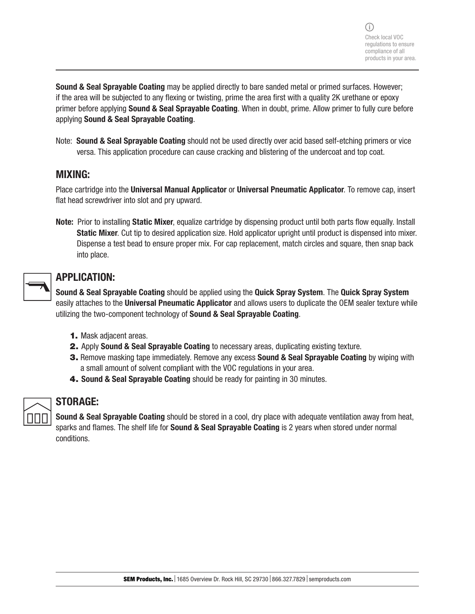Sound & Seal Sprayable Coating may be applied directly to bare sanded metal or primed surfaces. However; if the area will be subjected to any flexing or twisting, prime the area first with a quality 2K urethane or epoxy primer before applying **Sound & Seal Sprayable Coating**. When in doubt, prime. Allow primer to fully cure before applying Sound & Seal Sprayable Coating.

Note: Sound & Seal Sprayable Coating should not be used directly over acid based self-etching primers or vice versa. This application procedure can cause cracking and blistering of the undercoat and top coat.

#### MIXING:

Place cartridge into the Universal Manual Applicator or Universal Pneumatic Applicator. To remove cap, insert flat head screwdriver into slot and pry upward.

Note: Prior to installing Static Mixer, equalize cartridge by dispensing product until both parts flow equally. Install Static Mixer. Cut tip to desired application size. Hold applicator upright until product is dispensed into mixer. Dispense a test bead to ensure proper mix. For cap replacement, match circles and square, then snap back into place.

|--|

#### APPLICATION:

Sound & Seal Sprayable Coating should be applied using the Quick Spray System. The Quick Spray System easily attaches to the Universal Pneumatic Applicator and allows users to duplicate the OEM sealer texture while utilizing the two-component technology of Sound & Seal Sprayable Coating.

- 1. Mask adjacent areas.
- 2. Apply Sound & Seal Sprayable Coating to necessary areas, duplicating existing texture.
- 3. Remove masking tape immediately. Remove any excess Sound & Seal Sprayable Coating by wiping with a small amount of solvent compliant with the VOC regulations in your area.
- 4. Sound & Seal Sprayable Coating should be ready for painting in 30 minutes.



### STORAGE:

Sound & Seal Sprayable Coating should be stored in a cool, dry place with adequate ventilation away from heat, sparks and flames. The shelf life for **Sound & Seal Sprayable Coating** is 2 years when stored under normal conditions.